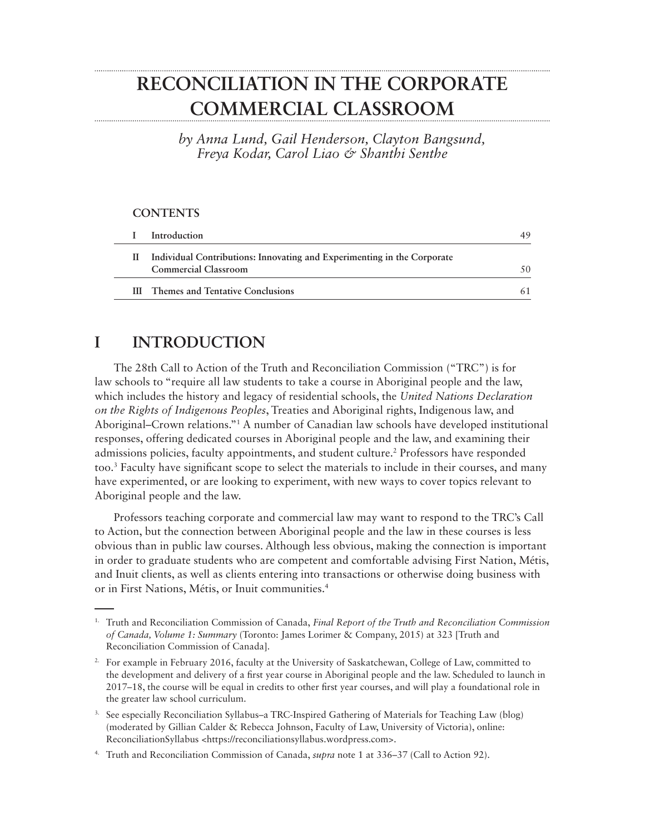# **RECONCILIATION IN THE CORPORATE COMMERCIAL CLASSROOM**

*by Anna Lund, Gail Henderson, Clayton Bangsund, Freya Kodar, Carol Liao & Shanthi Senthe*

#### **CONTENTS**

| Introduction                                                                                           | 49 |
|--------------------------------------------------------------------------------------------------------|----|
| Individual Contributions: Innovating and Experimenting in the Corporate<br><b>Commercial Classroom</b> |    |
| <b>III</b> Themes and Tentative Conclusions                                                            |    |

#### **I INTRODUCTION**

The 28th Call to Action of the Truth and Reconciliation Commission ("TRC") is for law schools to "require all law students to take a course in Aboriginal people and the law, which includes the history and legacy of residential schools, the *United Nations Declaration on the Rights of Indigenous Peoples*, Treaties and Aboriginal rights, Indigenous law, and Aboriginal–Crown relations."1 A number of Canadian law schools have developed institutional responses, offering dedicated courses in Aboriginal people and the law, and examining their admissions policies, faculty appointments, and student culture.<sup>2</sup> Professors have responded too.3 Faculty have significant scope to select the materials to include in their courses, and many have experimented, or are looking to experiment, with new ways to cover topics relevant to Aboriginal people and the law.

Professors teaching corporate and commercial law may want to respond to the TRC's Call to Action, but the connection between Aboriginal people and the law in these courses is less obvious than in public law courses. Although less obvious, making the connection is important in order to graduate students who are competent and comfortable advising First Nation, Métis, and Inuit clients, as well as clients entering into transactions or otherwise doing business with or in First Nations, Métis, or Inuit communities.4

- 3. See especially Reconciliation Syllabus–a TRC-Inspired Gathering of Materials for Teaching Law (blog) (moderated by Gillian Calder & Rebecca Johnson, Faculty of Law, University of Victoria), online: ReconciliationSyllabus <https://reconciliationsyllabus.wordpress.com>.
- 4. Truth and Reconciliation Commission of Canada, *supra* note 1 at 336–37 (Call to Action 92).

<sup>1.</sup> Truth and Reconciliation Commission of Canada, *Final Report of the Truth and Reconciliation Commission of Canada, Volume 1: Summary* (Toronto: James Lorimer & Company, 2015) at 323 [Truth and Reconciliation Commission of Canada].

<sup>2.</sup> For example in February 2016, faculty at the University of Saskatchewan, College of Law, committed to the development and delivery of a first year course in Aboriginal people and the law. Scheduled to launch in 2017–18, the course will be equal in credits to other first year courses, and will play a foundational role in the greater law school curriculum.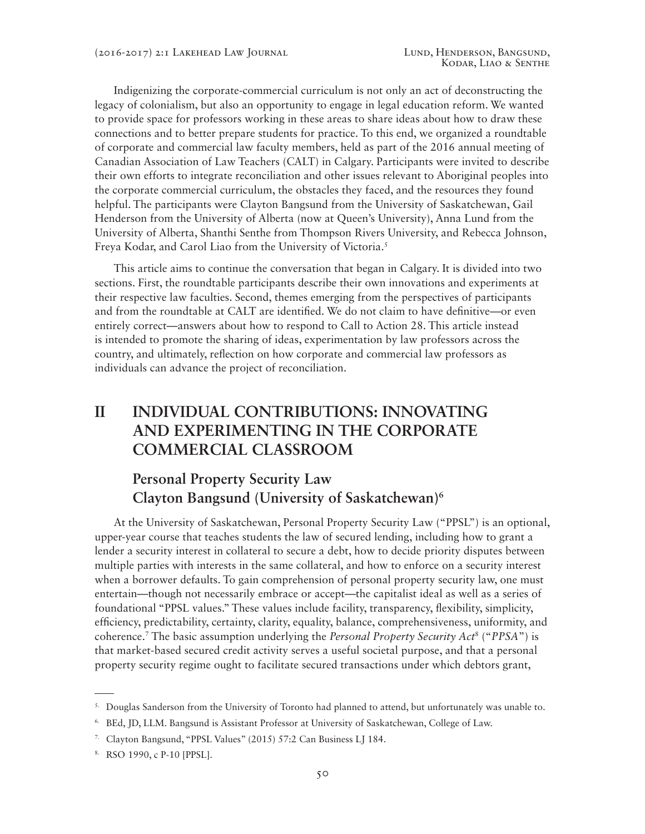Indigenizing the corporate-commercial curriculum is not only an act of deconstructing the legacy of colonialism, but also an opportunity to engage in legal education reform. We wanted to provide space for professors working in these areas to share ideas about how to draw these connections and to better prepare students for practice. To this end, we organized a roundtable of corporate and commercial law faculty members, held as part of the 2016 annual meeting of Canadian Association of Law Teachers (CALT) in Calgary. Participants were invited to describe their own efforts to integrate reconciliation and other issues relevant to Aboriginal peoples into the corporate commercial curriculum, the obstacles they faced, and the resources they found helpful. The participants were Clayton Bangsund from the University of Saskatchewan, Gail Henderson from the University of Alberta (now at Queen's University), Anna Lund from the University of Alberta, Shanthi Senthe from Thompson Rivers University, and Rebecca Johnson, Freya Kodar, and Carol Liao from the University of Victoria.<sup>5</sup>

This article aims to continue the conversation that began in Calgary. It is divided into two sections. First, the roundtable participants describe their own innovations and experiments at their respective law faculties. Second, themes emerging from the perspectives of participants and from the roundtable at CALT are identified. We do not claim to have definitive—or even entirely correct—answers about how to respond to Call to Action 28. This article instead is intended to promote the sharing of ideas, experimentation by law professors across the country, and ultimately, reflection on how corporate and commercial law professors as individuals can advance the project of reconciliation.

# **II INDIVIDUAL CONTRIBUTIONS: INNOVATING AND EXPERIMENTING IN THE CORPORATE COMMERCIAL CLASSROOM**

#### **Personal Property Security Law Clayton Bangsund (University of Saskatchewan)6**

At the University of Saskatchewan, Personal Property Security Law ("PPSL") is an optional, upper-year course that teaches students the law of secured lending, including how to grant a lender a security interest in collateral to secure a debt, how to decide priority disputes between multiple parties with interests in the same collateral, and how to enforce on a security interest when a borrower defaults. To gain comprehension of personal property security law, one must entertain—though not necessarily embrace or accept—the capitalist ideal as well as a series of foundational "PPSL values." These values include facility, transparency, flexibility, simplicity, efficiency, predictability, certainty, clarity, equality, balance, comprehensiveness, uniformity, and coherence.7 The basic assumption underlying the *Personal Property Security Act*<sup>8</sup> ("*PPSA*") is that market-based secured credit activity serves a useful societal purpose, and that a personal property security regime ought to facilitate secured transactions under which debtors grant,

<sup>5.</sup> Douglas Sanderson from the University of Toronto had planned to attend, but unfortunately was unable to.

<sup>6.</sup> BEd, JD, LLM. Bangsund is Assistant Professor at University of Saskatchewan, College of Law.

<sup>7.</sup> Clayton Bangsund, "PPSL Values" (2015) 57:2 Can Business LJ 184.

<sup>8.</sup> RSO 1990, c P-10 [PPSL].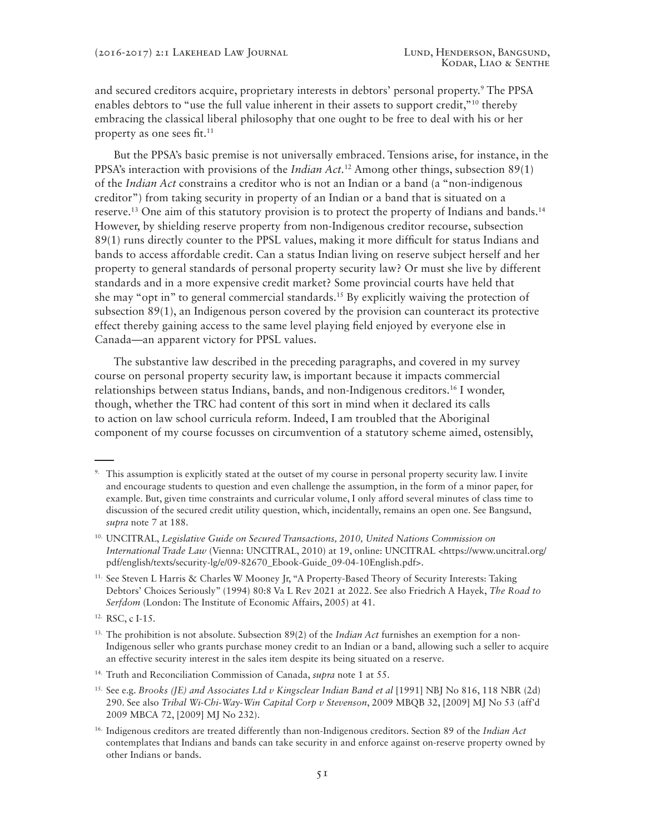and secured creditors acquire, proprietary interests in debtors' personal property.<sup>9</sup> The PPSA enables debtors to "use the full value inherent in their assets to support credit,"<sup>10</sup> thereby embracing the classical liberal philosophy that one ought to be free to deal with his or her property as one sees fit.<sup>11</sup>

But the PPSA's basic premise is not universally embraced. Tensions arise, for instance, in the PPSA's interaction with provisions of the *Indian Act.*12 Among other things, subsection 89(1) of the *Indian Act* constrains a creditor who is not an Indian or a band (a "non-indigenous creditor") from taking security in property of an Indian or a band that is situated on a reserve.13 One aim of this statutory provision is to protect the property of Indians and bands.14 However, by shielding reserve property from non-Indigenous creditor recourse, subsection 89(1) runs directly counter to the PPSL values, making it more difficult for status Indians and bands to access affordable credit. Can a status Indian living on reserve subject herself and her property to general standards of personal property security law? Or must she live by different standards and in a more expensive credit market? Some provincial courts have held that she may "opt in" to general commercial standards.<sup>15</sup> By explicitly waiving the protection of subsection 89(1), an Indigenous person covered by the provision can counteract its protective effect thereby gaining access to the same level playing field enjoyed by everyone else in Canada—an apparent victory for PPSL values.

The substantive law described in the preceding paragraphs, and covered in my survey course on personal property security law, is important because it impacts commercial relationships between status Indians, bands, and non-Indigenous creditors.16 I wonder, though, whether the TRC had content of this sort in mind when it declared its calls to action on law school curricula reform. Indeed, I am troubled that the Aboriginal component of my course focusses on circumvention of a statutory scheme aimed, ostensibly,

12. RSC, c I-15.

<sup>&</sup>lt;sup>9.</sup> This assumption is explicitly stated at the outset of my course in personal property security law. I invite and encourage students to question and even challenge the assumption, in the form of a minor paper, for example. But, given time constraints and curricular volume, I only afford several minutes of class time to discussion of the secured credit utility question, which, incidentally, remains an open one. See Bangsund, *supra* note 7 at 188.

<sup>&</sup>lt;sup>10.</sup> UNCITRAL, *Legislative Guide on Secured Transactions, 2010, United Nations Commission on International Trade Law* (Vienna: UNCITRAL, 2010) at 19, online: UNCITRAL <https://www.uncitral.org/ pdf/english/texts/security-lg/e/09-82670\_Ebook-Guide\_09-04-10English.pdf>.

<sup>11.</sup> See Steven L Harris & Charles W Mooney Jr, "A Property-Based Theory of Security Interests: Taking Debtors' Choices Seriously" (1994) 80:8 Va L Rev 2021 at 2022. See also Friedrich A Hayek, *The Road to Serfdom* (London: The Institute of Economic Affairs, 2005) at 41.

<sup>13.</sup> The prohibition is not absolute. Subsection 89(2) of the *Indian Act* furnishes an exemption for a non-Indigenous seller who grants purchase money credit to an Indian or a band, allowing such a seller to acquire an effective security interest in the sales item despite its being situated on a reserve.

<sup>14.</sup> Truth and Reconciliation Commission of Canada, *supra* note 1 at 55.

<sup>15.</sup> See e.g. *Brooks (JE) and Associates Ltd v Kingsclear Indian Band et al* [1991] NBJ No 816, 118 NBR (2d) 290. See also *Tribal Wi-Chi-Way-Win Capital Corp v Stevenson*, 2009 MBQB 32, [2009] MJ No 53 (aff'd 2009 MBCA 72, [2009] MJ No 232).

<sup>16.</sup> Indigenous creditors are treated differently than non-Indigenous creditors. Section 89 of the *Indian Act* contemplates that Indians and bands can take security in and enforce against on-reserve property owned by other Indians or bands.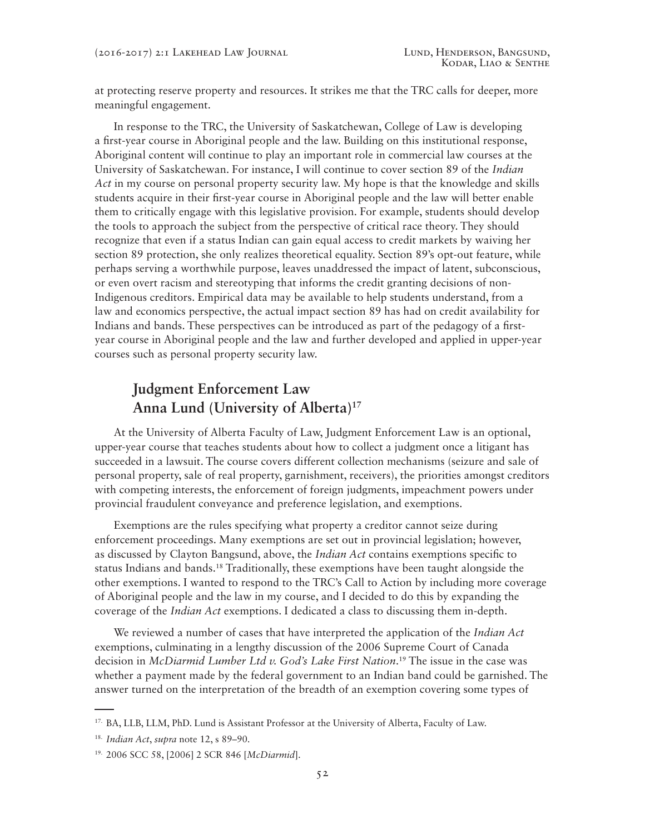at protecting reserve property and resources. It strikes me that the TRC calls for deeper, more meaningful engagement.

In response to the TRC, the University of Saskatchewan, College of Law is developing a first-year course in Aboriginal people and the law. Building on this institutional response, Aboriginal content will continue to play an important role in commercial law courses at the University of Saskatchewan. For instance, I will continue to cover section 89 of the *Indian Act* in my course on personal property security law. My hope is that the knowledge and skills students acquire in their first-year course in Aboriginal people and the law will better enable them to critically engage with this legislative provision. For example, students should develop the tools to approach the subject from the perspective of critical race theory. They should recognize that even if a status Indian can gain equal access to credit markets by waiving her section 89 protection, she only realizes theoretical equality. Section 89's opt-out feature, while perhaps serving a worthwhile purpose, leaves unaddressed the impact of latent, subconscious, or even overt racism and stereotyping that informs the credit granting decisions of non-Indigenous creditors. Empirical data may be available to help students understand, from a law and economics perspective, the actual impact section 89 has had on credit availability for Indians and bands. These perspectives can be introduced as part of the pedagogy of a firstyear course in Aboriginal people and the law and further developed and applied in upper-year courses such as personal property security law.

## **Judgment Enforcement Law Anna Lund (University of Alberta)17**

At the University of Alberta Faculty of Law, Judgment Enforcement Law is an optional, upper-year course that teaches students about how to collect a judgment once a litigant has succeeded in a lawsuit. The course covers different collection mechanisms (seizure and sale of personal property, sale of real property, garnishment, receivers), the priorities amongst creditors with competing interests, the enforcement of foreign judgments, impeachment powers under provincial fraudulent conveyance and preference legislation, and exemptions.

Exemptions are the rules specifying what property a creditor cannot seize during enforcement proceedings. Many exemptions are set out in provincial legislation; however, as discussed by Clayton Bangsund, above, the *Indian Act* contains exemptions specific to status Indians and bands.18 Traditionally, these exemptions have been taught alongside the other exemptions. I wanted to respond to the TRC's Call to Action by including more coverage of Aboriginal people and the law in my course, and I decided to do this by expanding the coverage of the *Indian Act* exemptions. I dedicated a class to discussing them in-depth.

We reviewed a number of cases that have interpreted the application of the *Indian Act* exemptions, culminating in a lengthy discussion of the 2006 Supreme Court of Canada decision in *McDiarmid Lumber Ltd v. God's Lake First Nation*. 19 The issue in the case was whether a payment made by the federal government to an Indian band could be garnished. The answer turned on the interpretation of the breadth of an exemption covering some types of

<sup>17.</sup> BA, LLB, LLM, PhD. Lund is Assistant Professor at the University of Alberta, Faculty of Law.

<sup>18.</sup> *Indian Act*, *supra* note 12, s 89–90.

<sup>19. 2006</sup> SCC 58, [2006] 2 SCR 846 [*McDiarmid*].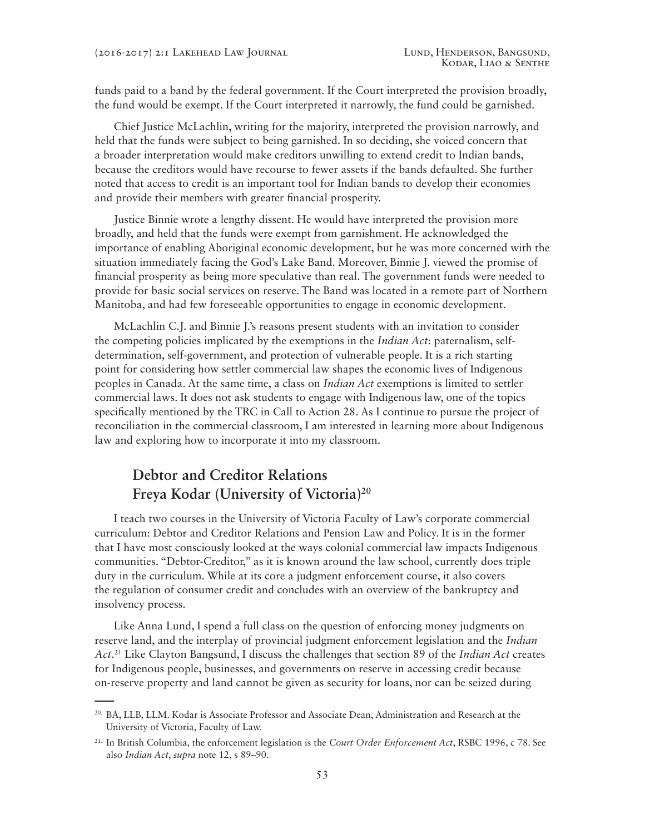funds paid to a band by the federal government. If the Court interpreted the provision broadly, the fund would be exempt. If the Court interpreted it narrowly, the fund could be garnished.

Chief Justice McLachlin, writing for the majority, interpreted the provision narrowly, and held that the funds were subject to being garnished. In so deciding, she voiced concern that a broader interpretation would make creditors unwilling to extend credit to Indian bands, because the creditors would have recourse to fewer assets if the bands defaulted. She further noted that access to credit is an important tool for Indian bands to develop their economies and provide their members with greater financial prosperity.

Justice Binnie wrote a lengthy dissent. He would have interpreted the provision more broadly, and held that the funds were exempt from garnishment. He acknowledged the importance of enabling Aboriginal economic development, but he was more concerned with the situation immediately facing the God's Lake Band. Moreover, Binnie J. viewed the promise of financial prosperity as being more speculative than real. The government funds were needed to provide for basic social services on reserve. The Band was located in a remote part of Northern Manitoba, and had few foreseeable opportunities to engage in economic development.

McLachlin C.J. and Binnie J.'s reasons present students with an invitation to consider the competing policies implicated by the exemptions in the *Indian Act*: paternalism, selfdetermination, self-government, and protection of vulnerable people. It is a rich starting point for considering how settler commercial law shapes the economic lives of Indigenous peoples in Canada. At the same time, a class on *Indian Act* exemptions is limited to settler commercial laws. It does not ask students to engage with Indigenous law, one of the topics specifically mentioned by the TRC in Call to Action 28. As I continue to pursue the project of reconciliation in the commercial classroom, I am interested in learning more about Indigenous law and exploring how to incorporate it into my classroom.

## **Debtor and Creditor Relations Freya Kodar (University of Victoria)20**

I teach two courses in the University of Victoria Faculty of Law's corporate commercial curriculum: Debtor and Creditor Relations and Pension Law and Policy. It is in the former that I have most consciously looked at the ways colonial commercial law impacts Indigenous communities. "Debtor-Creditor," as it is known around the law school, currently does triple duty in the curriculum. While at its core a judgment enforcement course, it also covers the regulation of consumer credit and concludes with an overview of the bankruptcy and insolvency process.

Like Anna Lund, I spend a full class on the question of enforcing money judgments on reserve land, and the interplay of provincial judgment enforcement legislation and the *Indian Act*. 21 Like Clayton Bangsund, I discuss the challenges that section 89 of the *Indian Act* creates for Indigenous people, businesses, and governments on reserve in accessing credit because on-reserve property and land cannot be given as security for loans, nor can be seized during

<sup>20.</sup> BA, LLB, LLM. Kodar is Associate Professor and Associate Dean, Administration and Research at the University of Victoria, Faculty of Law.

<sup>21.</sup> In British Columbia, the enforcement legislation is the *Court Order Enforcement Act*, RSBC 1996, c 78. See also *Indian Act*, *supra* note 12, s 89–90.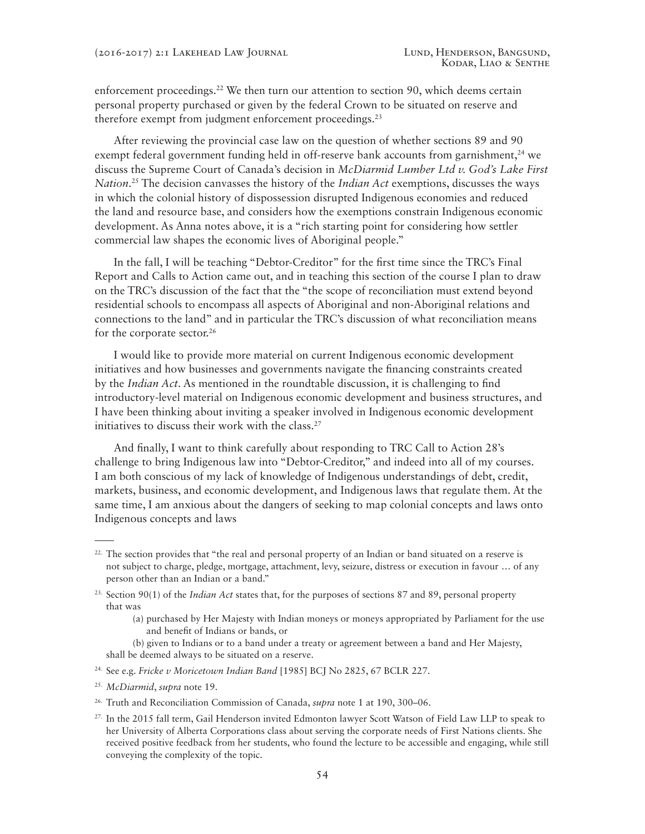enforcement proceedings.<sup>22</sup> We then turn our attention to section 90, which deems certain personal property purchased or given by the federal Crown to be situated on reserve and therefore exempt from judgment enforcement proceedings.<sup>23</sup>

After reviewing the provincial case law on the question of whether sections 89 and 90 exempt federal government funding held in off-reserve bank accounts from garnishment,<sup>24</sup> we discuss the Supreme Court of Canada's decision in *McDiarmid Lumber Ltd v. God's Lake First Nation*. 25 The decision canvasses the history of the *Indian Act* exemptions, discusses the ways in which the colonial history of dispossession disrupted Indigenous economies and reduced the land and resource base, and considers how the exemptions constrain Indigenous economic development. As Anna notes above, it is a "rich starting point for considering how settler commercial law shapes the economic lives of Aboriginal people."

In the fall, I will be teaching "Debtor-Creditor" for the first time since the TRC's Final Report and Calls to Action came out, and in teaching this section of the course I plan to draw on the TRC's discussion of the fact that the "the scope of reconciliation must extend beyond residential schools to encompass all aspects of Aboriginal and non-Aboriginal relations and connections to the land" and in particular the TRC's discussion of what reconciliation means for the corporate sector.<sup>26</sup>

I would like to provide more material on current Indigenous economic development initiatives and how businesses and governments navigate the financing constraints created by the *Indian Act*. As mentioned in the roundtable discussion, it is challenging to find introductory-level material on Indigenous economic development and business structures, and I have been thinking about inviting a speaker involved in Indigenous economic development initiatives to discuss their work with the class.<sup>27</sup>

And finally, I want to think carefully about responding to TRC Call to Action 28's challenge to bring Indigenous law into "Debtor-Creditor," and indeed into all of my courses. I am both conscious of my lack of knowledge of Indigenous understandings of debt, credit, markets, business, and economic development, and Indigenous laws that regulate them. At the same time, I am anxious about the dangers of seeking to map colonial concepts and laws onto Indigenous concepts and laws

- (a) purchased by Her Majesty with Indian moneys or moneys appropriated by Parliament for the use and benefit of Indians or bands, or
- (b) given to Indians or to a band under a treaty or agreement between a band and Her Majesty, shall be deemed always to be situated on a reserve.
- 24. See e.g. *Fricke v Moricetown Indian Band* [1985] BCJ No 2825, 67 BCLR 227.

 $22.$  The section provides that "the real and personal property of an Indian or band situated on a reserve is not subject to charge, pledge, mortgage, attachment, levy, seizure, distress or execution in favour … of any person other than an Indian or a band."

<sup>23.</sup> Section 90(1) of the *Indian Act* states that, for the purposes of sections 87 and 89, personal property that was

<sup>25.</sup> *McDiarmid*, *supra* note 19.

<sup>26.</sup> Truth and Reconciliation Commission of Canada, *supra* note 1 at 190, 300–06.

<sup>&</sup>lt;sup>27.</sup> In the 2015 fall term, Gail Henderson invited Edmonton lawyer Scott Watson of Field Law LLP to speak to her University of Alberta Corporations class about serving the corporate needs of First Nations clients. She received positive feedback from her students, who found the lecture to be accessible and engaging, while still conveying the complexity of the topic.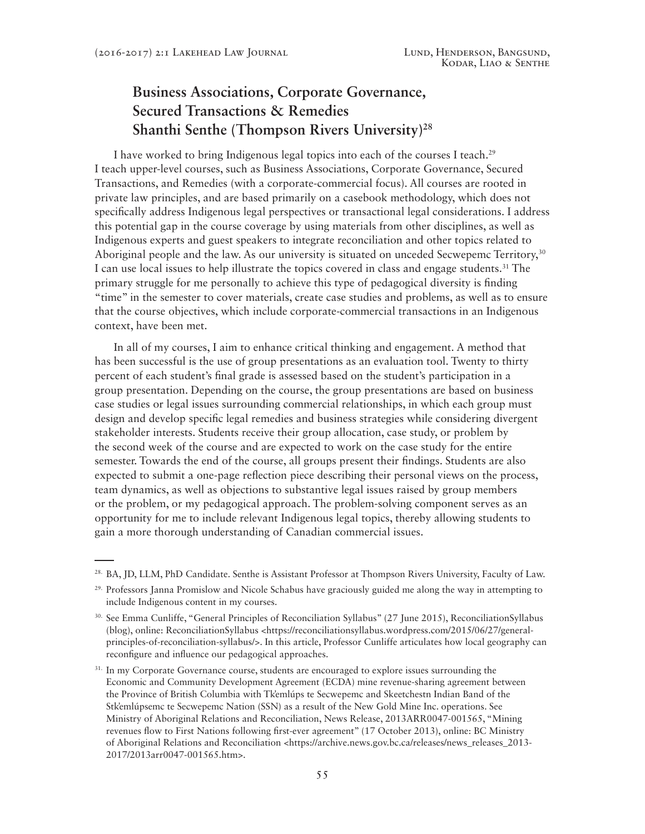## **Business Associations, Corporate Governance, Secured Transactions & Remedies Shanthi Senthe (Thompson Rivers University)28**

I have worked to bring Indigenous legal topics into each of the courses I teach.29 I teach upper-level courses, such as Business Associations, Corporate Governance, Secured Transactions, and Remedies (with a corporate-commercial focus). All courses are rooted in private law principles, and are based primarily on a casebook methodology, which does not specifically address Indigenous legal perspectives or transactional legal considerations. I address this potential gap in the course coverage by using materials from other disciplines, as well as Indigenous experts and guest speakers to integrate reconciliation and other topics related to Aboriginal people and the law. As our university is situated on unceded Secwepemc Territory,<sup>30</sup> I can use local issues to help illustrate the topics covered in class and engage students.31 The primary struggle for me personally to achieve this type of pedagogical diversity is finding "time" in the semester to cover materials, create case studies and problems, as well as to ensure that the course objectives, which include corporate-commercial transactions in an Indigenous context, have been met.

In all of my courses, I aim to enhance critical thinking and engagement. A method that has been successful is the use of group presentations as an evaluation tool. Twenty to thirty percent of each student's final grade is assessed based on the student's participation in a group presentation. Depending on the course, the group presentations are based on business case studies or legal issues surrounding commercial relationships, in which each group must design and develop specific legal remedies and business strategies while considering divergent stakeholder interests. Students receive their group allocation, case study, or problem by the second week of the course and are expected to work on the case study for the entire semester. Towards the end of the course, all groups present their findings. Students are also expected to submit a one-page reflection piece describing their personal views on the process, team dynamics, as well as objections to substantive legal issues raised by group members or the problem, or my pedagogical approach. The problem-solving component serves as an opportunity for me to include relevant Indigenous legal topics, thereby allowing students to gain a more thorough understanding of Canadian commercial issues.

<sup>28.</sup> BA, JD, LLM, PhD Candidate. Senthe is Assistant Professor at Thompson Rivers University, Faculty of Law.

 $29.$  Professors Janna Promislow and Nicole Schabus have graciously guided me along the way in attempting to include Indigenous content in my courses.

<sup>30.</sup> See Emma Cunliffe, "General Principles of Reconciliation Syllabus" (27 June 2015), ReconciliationSyllabus (blog), online: ReconciliationSyllabus <https://reconciliationsyllabus.wordpress.com/2015/06/27/generalprinciples-of-reconciliation-syllabus/>. In this article, Professor Cunliffe articulates how local geography can reconfigure and influence our pedagogical approaches.

<sup>&</sup>lt;sup>31.</sup> In my Corporate Governance course, students are encouraged to explore issues surrounding the Economic and Community Development Agreement (ECDA) mine revenue-sharing agreement between the Province of British Columbia with Tk̓emlúps te Secwepemc and Skeetchestn Indian Band of the Stk̓emlúpsemc te Secwepemc Nation (SSN) as a result of the New Gold Mine Inc. operations. See Ministry of Aboriginal Relations and Reconciliation, News Release, 2013ARR0047-001565, "Mining revenues flow to First Nations following first-ever agreement" (17 October 2013), online: BC Ministry of Aboriginal Relations and Reconciliation <https://archive.news.gov.bc.ca/releases/news\_releases\_2013-2017/2013arr0047-001565.htm>.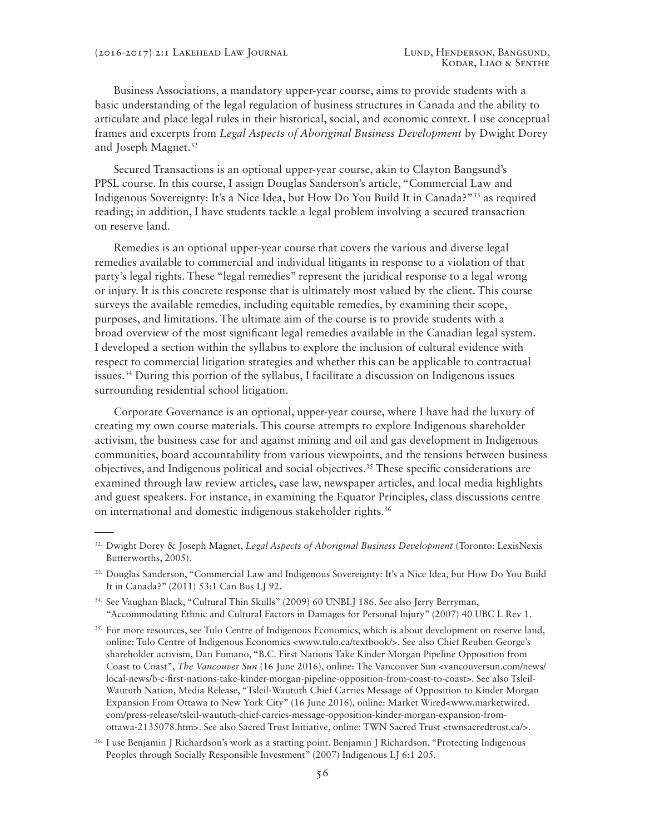Business Associations, a mandatory upper-year course, aims to provide students with a basic understanding of the legal regulation of business structures in Canada and the ability to articulate and place legal rules in their historical, social, and economic context. I use conceptual frames and excerpts from *Legal Aspects of Aboriginal Business Development* by Dwight Dorey and Joseph Magnet.<sup>32</sup>

Secured Transactions is an optional upper-year course, akin to Clayton Bangsund's PPSL course. In this course, I assign Douglas Sanderson's article, "Commercial Law and Indigenous Sovereignty: It's a Nice Idea, but How Do You Build It in Canada?"33 as required reading; in addition, I have students tackle a legal problem involving a secured transaction on reserve land.

Remedies is an optional upper-year course that covers the various and diverse legal remedies available to commercial and individual litigants in response to a violation of that party's legal rights. These "legal remedies" represent the juridical response to a legal wrong or injury. It is this concrete response that is ultimately most valued by the client. This course surveys the available remedies, including equitable remedies, by examining their scope, purposes, and limitations. The ultimate aim of the course is to provide students with a broad overview of the most significant legal remedies available in the Canadian legal system. I developed a section within the syllabus to explore the inclusion of cultural evidence with respect to commercial litigation strategies and whether this can be applicable to contractual issues.34 During this portion of the syllabus, I facilitate a discussion on Indigenous issues surrounding residential school litigation.

Corporate Governance is an optional, upper-year course, where I have had the luxury of creating my own course materials. This course attempts to explore Indigenous shareholder activism, the business case for and against mining and oil and gas development in Indigenous communities, board accountability from various viewpoints, and the tensions between business objectives, and Indigenous political and social objectives.35 These specific considerations are examined through law review articles, case law, newspaper articles, and local media highlights and guest speakers. For instance, in examining the Equator Principles, class discussions centre on international and domestic indigenous stakeholder rights.<sup>36</sup>

- 34. See Vaughan Black, "Cultural Thin Skulls" (2009) 60 UNBLJ 186. See also Jerry Berryman, "Accommodating Ethnic and Cultural Factors in Damages for Personal Injury" (2007) 40 UBC L Rev 1.
- <sup>35.</sup> For more resources, see Tulo Centre of Indigenous Economics, which is about development on reserve land, online: Tulo Centre of Indigenous Economics <www.tulo.ca/textbook/>. See also Chief Reuben George's shareholder activism, Dan Fumano, "B.C. First Nations Take Kinder Morgan Pipeline Opposition from Coast to Coast", *The Vancouver Sun* (16 June 2016), online: The Vancouver Sun <vancouversun.com/news/ local-news/b-c-first-nations-take-kinder-morgan-pipeline-opposition-from-coast-to-coast>. See also Tsleil-Waututh Nation, Media Release, "Tsleil-Waututh Chief Carries Message of Opposition to Kinder Morgan Expansion From Ottawa to New York City" (16 June 2016), online: Market Wired<www.marketwired. com/press-release/tsleil-waututh-chief-carries-message-opposition-kinder-morgan-expansion-fromottawa-2135078.htm>. See also Sacred Trust Initiative, online: TWN Sacred Trust <twnsacredtrust.ca/>.
- 36. I use Benjamin J Richardson's work as a starting point. Benjamin J Richardson, "Protecting Indigenous Peoples through Socially Responsible Investment" (2007) Indigenous LJ 6:1 205.

<sup>32.</sup> Dwight Dorey & Joseph Magnet, *Legal Aspects of Aboriginal Business Development* (Toronto: LexisNexis Butterworths, 2005).

<sup>33.</sup> Douglas Sanderson, "Commercial Law and Indigenous Sovereignty: It's a Nice Idea, but How Do You Build It in Canada?" (2011) 53:1 Can Bus LJ 92.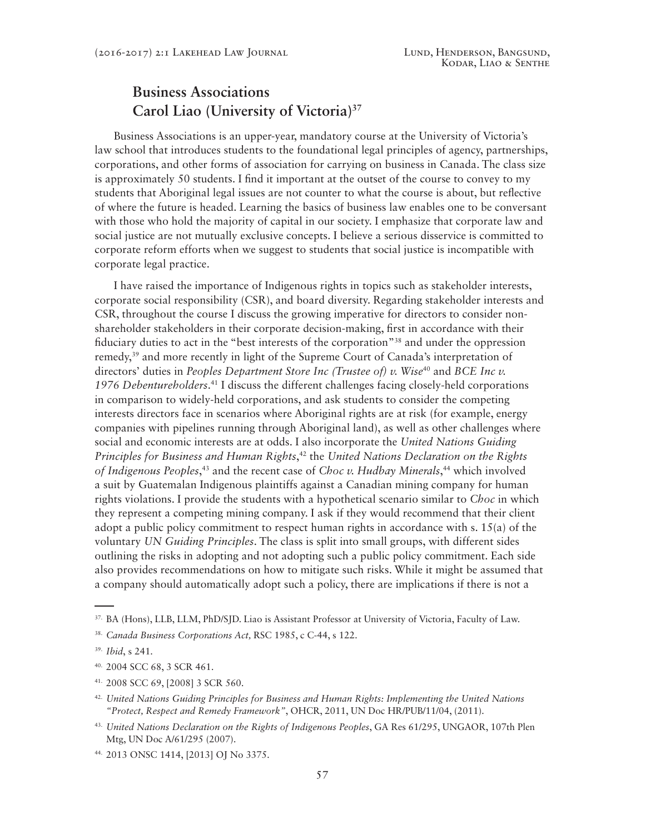#### **Business Associations Carol Liao (University of Victoria)37**

Business Associations is an upper-year, mandatory course at the University of Victoria's law school that introduces students to the foundational legal principles of agency, partnerships, corporations, and other forms of association for carrying on business in Canada. The class size is approximately 50 students. I find it important at the outset of the course to convey to my students that Aboriginal legal issues are not counter to what the course is about, but reflective of where the future is headed. Learning the basics of business law enables one to be conversant with those who hold the majority of capital in our society. I emphasize that corporate law and social justice are not mutually exclusive concepts. I believe a serious disservice is committed to corporate reform efforts when we suggest to students that social justice is incompatible with corporate legal practice.

I have raised the importance of Indigenous rights in topics such as stakeholder interests, corporate social responsibility (CSR), and board diversity. Regarding stakeholder interests and CSR, throughout the course I discuss the growing imperative for directors to consider nonshareholder stakeholders in their corporate decision-making, first in accordance with their fiduciary duties to act in the "best interests of the corporation"38 and under the oppression remedy,39 and more recently in light of the Supreme Court of Canada's interpretation of directors' duties in *Peoples Department Store Inc (Trustee of) v. Wise*<sup>40</sup> and *BCE Inc v. 1976 Debentureholders*. 41 I discuss the different challenges facing closely-held corporations in comparison to widely-held corporations, and ask students to consider the competing interests directors face in scenarios where Aboriginal rights are at risk (for example, energy companies with pipelines running through Aboriginal land), as well as other challenges where social and economic interests are at odds. I also incorporate the *United Nations Guiding Principles for Business and Human Rights*, 42 the *United Nations Declaration on the Rights of Indigenous Peoples*, 43 and the recent case of *Choc v. Hudbay Minerals*, 44 which involved a suit by Guatemalan Indigenous plaintiffs against a Canadian mining company for human rights violations. I provide the students with a hypothetical scenario similar to *Choc* in which they represent a competing mining company. I ask if they would recommend that their client adopt a public policy commitment to respect human rights in accordance with s. 15(a) of the voluntary *UN Guiding Principles*. The class is split into small groups, with different sides outlining the risks in adopting and not adopting such a public policy commitment. Each side also provides recommendations on how to mitigate such risks. While it might be assumed that a company should automatically adopt such a policy, there are implications if there is not a

<sup>37.</sup> BA (Hons), LLB, LLM, PhD/SJD. Liao is Assistant Professor at University of Victoria, Faculty of Law.

<sup>38.</sup> *Canada Business Corporations Act,* RSC 1985, c C-44, s 122.

<sup>39.</sup> *Ibid*, s 241*.*

<sup>40. 2004</sup> SCC 68, 3 SCR 461.

<sup>41. 2008</sup> SCC 69, [2008] 3 SCR 560.

<sup>42.</sup> *United Nations Guiding Principles for Business and Human Rights: Implementing the United Nations "Protect, Respect and Remedy Framework"*, OHCR, 2011, UN Doc HR/PUB/11/04, (2011).

<sup>43.</sup> *United Nations Declaration on the Rights of Indigenous Peoples*, GA Res 61/295, UNGAOR, 107th Plen Mtg, UN Doc A/61/295 (2007).

<sup>44. 2013</sup> ONSC 1414, [2013] OJ No 3375.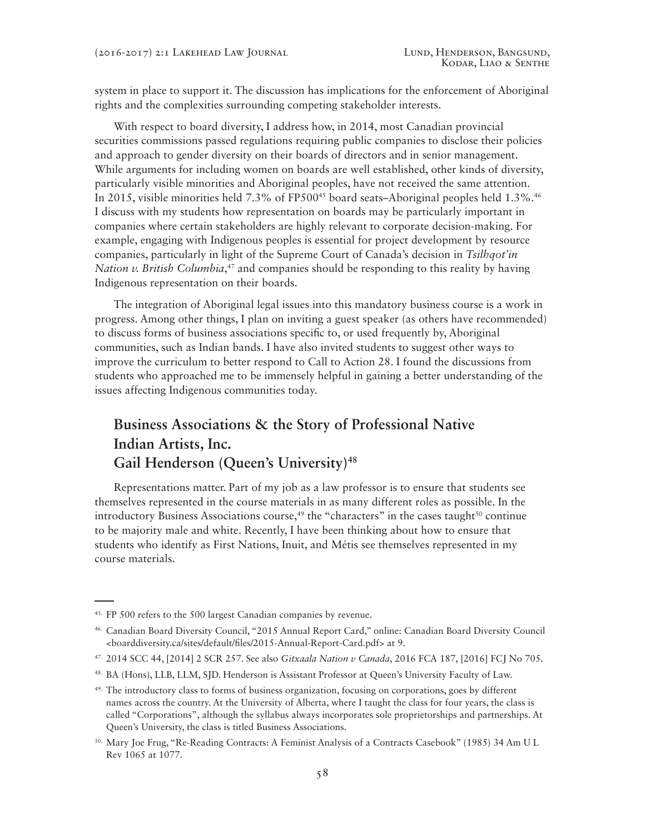system in place to support it. The discussion has implications for the enforcement of Aboriginal rights and the complexities surrounding competing stakeholder interests.

With respect to board diversity, I address how, in 2014, most Canadian provincial securities commissions passed regulations requiring public companies to disclose their policies and approach to gender diversity on their boards of directors and in senior management. While arguments for including women on boards are well established, other kinds of diversity, particularly visible minorities and Aboriginal peoples, have not received the same attention. In 2015, visible minorities held 7.3% of FP500<sup>45</sup> board seats–Aboriginal peoples held  $1.3\%$ .<sup>46</sup> I discuss with my students how representation on boards may be particularly important in companies where certain stakeholders are highly relevant to corporate decision-making. For example, engaging with Indigenous peoples is essential for project development by resource companies, particularly in light of the Supreme Court of Canada's decision in *Tsilhqot'in Nation v. British Columbia*, 47 and companies should be responding to this reality by having Indigenous representation on their boards.

The integration of Aboriginal legal issues into this mandatory business course is a work in progress. Among other things, I plan on inviting a guest speaker (as others have recommended) to discuss forms of business associations specific to, or used frequently by, Aboriginal communities, such as Indian bands. I have also invited students to suggest other ways to improve the curriculum to better respond to Call to Action 28. I found the discussions from students who approached me to be immensely helpful in gaining a better understanding of the issues affecting Indigenous communities today.

#### **Business Associations & the Story of Professional Native Indian Artists, Inc.** Gail Henderson (Queen's University)<sup>48</sup>

Representations matter. Part of my job as a law professor is to ensure that students see themselves represented in the course materials in as many different roles as possible. In the introductory Business Associations course,<sup>49</sup> the "characters" in the cases taught<sup>50</sup> continue to be majority male and white. Recently, I have been thinking about how to ensure that students who identify as First Nations, Inuit, and Métis see themselves represented in my course materials.

<sup>45.</sup> FP 500 refers to the 500 largest Canadian companies by revenue.

<sup>46.</sup> Canadian Board Diversity Council, "2015 Annual Report Card," online: Canadian Board Diversity Council <boarddiversity.ca/sites/default/files/2015-Annual-Report-Card.pdf> at 9.

<sup>47. 2014</sup> SCC 44, [2014] 2 SCR 257. See also *Gitxaala Nation v Canada*, 2016 FCA 187, [2016] FCJ No 705.

<sup>48.</sup> BA (Hons), LLB, LLM, SJD. Henderson is Assistant Professor at Queen's University Faculty of Law.

 $49.$  The introductory class to forms of business organization, focusing on corporations, goes by different names across the country. At the University of Alberta, where I taught the class for four years, the class is called "Corporations", although the syllabus always incorporates sole proprietorships and partnerships. At Queen's University, the class is titled Business Associations.

<sup>50.</sup> Mary Joe Frug, "Re-Reading Contracts: A Feminist Analysis of a Contracts Casebook" (1985) 34 Am U L Rev 1065 at 1077.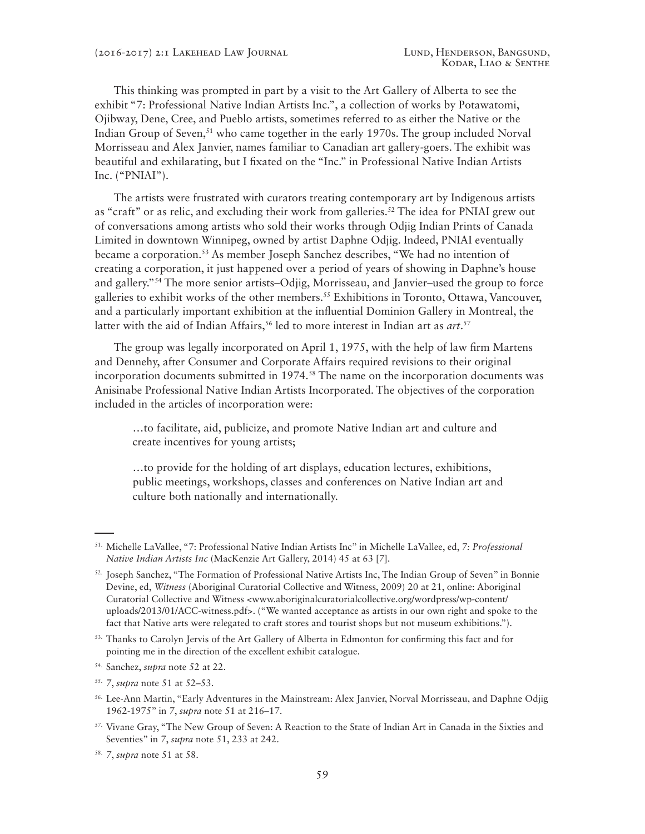This thinking was prompted in part by a visit to the Art Gallery of Alberta to see the exhibit "7: Professional Native Indian Artists Inc.", a collection of works by Potawatomi, Ojibway, Dene, Cree, and Pueblo artists, sometimes referred to as either the Native or the Indian Group of Seven,<sup>51</sup> who came together in the early 1970s. The group included Norval Morrisseau and Alex Janvier, names familiar to Canadian art gallery-goers. The exhibit was beautiful and exhilarating, but I fixated on the "Inc." in Professional Native Indian Artists Inc. ("PNIAI").

The artists were frustrated with curators treating contemporary art by Indigenous artists as "craft" or as relic, and excluding their work from galleries.<sup>52</sup> The idea for PNIAI grew out of conversations among artists who sold their works through Odjig Indian Prints of Canada Limited in downtown Winnipeg, owned by artist Daphne Odjig. Indeed, PNIAI eventually became a corporation.53 As member Joseph Sanchez describes, "We had no intention of creating a corporation, it just happened over a period of years of showing in Daphne's house and gallery."54 The more senior artists–Odjig, Morrisseau, and Janvier–used the group to force galleries to exhibit works of the other members.<sup>55</sup> Exhibitions in Toronto, Ottawa, Vancouver, and a particularly important exhibition at the influential Dominion Gallery in Montreal, the latter with the aid of Indian Affairs,<sup>56</sup> led to more interest in Indian art as *art*.<sup>57</sup>

The group was legally incorporated on April 1, 1975, with the help of law firm Martens and Dennehy, after Consumer and Corporate Affairs required revisions to their original incorporation documents submitted in 1974.<sup>58</sup> The name on the incorporation documents was Anisinabe Professional Native Indian Artists Incorporated. The objectives of the corporation included in the articles of incorporation were:

…to facilitate, aid, publicize, and promote Native Indian art and culture and create incentives for young artists;

…to provide for the holding of art displays, education lectures, exhibitions, public meetings, workshops, classes and conferences on Native Indian art and culture both nationally and internationally.

<sup>51.</sup> Michelle LaVallee, "7: Professional Native Indian Artists Inc" in Michelle LaVallee, ed, *7: Professional Native Indian Artists Inc* (MacKenzie Art Gallery, 2014) 45 at 63 [*7*].

<sup>52.</sup> Joseph Sanchez, "The Formation of Professional Native Artists Inc, The Indian Group of Seven" in Bonnie Devine, ed, *Witness* (Aboriginal Curatorial Collective and Witness, 2009) 20 at 21, online: Aboriginal Curatorial Collective and Witness <www.aboriginalcuratorialcollective.org/wordpress/wp-content/ uploads/2013/01/ACC-witness.pdf>. ("We wanted acceptance as artists in our own right and spoke to the fact that Native arts were relegated to craft stores and tourist shops but not museum exhibitions.").

<sup>&</sup>lt;sup>53.</sup> Thanks to Carolyn Jervis of the Art Gallery of Alberta in Edmonton for confirming this fact and for pointing me in the direction of the excellent exhibit catalogue.

<sup>54.</sup> Sanchez, *supra* note 52 at 22.

<sup>55.</sup> *7*, *supra* note 51 at 52–53.

<sup>56.</sup> Lee-Ann Martin, "Early Adventures in the Mainstream: Alex Janvier, Norval Morrisseau, and Daphne Odjig 1962-1975" in *7*, *supra* note 51 at 216–17.

<sup>57.</sup> Vivane Gray, "The New Group of Seven: A Reaction to the State of Indian Art in Canada in the Sixties and Seventies" in *7*, *supra* note 51, 233 at 242.

<sup>58.</sup> *7*, *supra* note 51 at 58.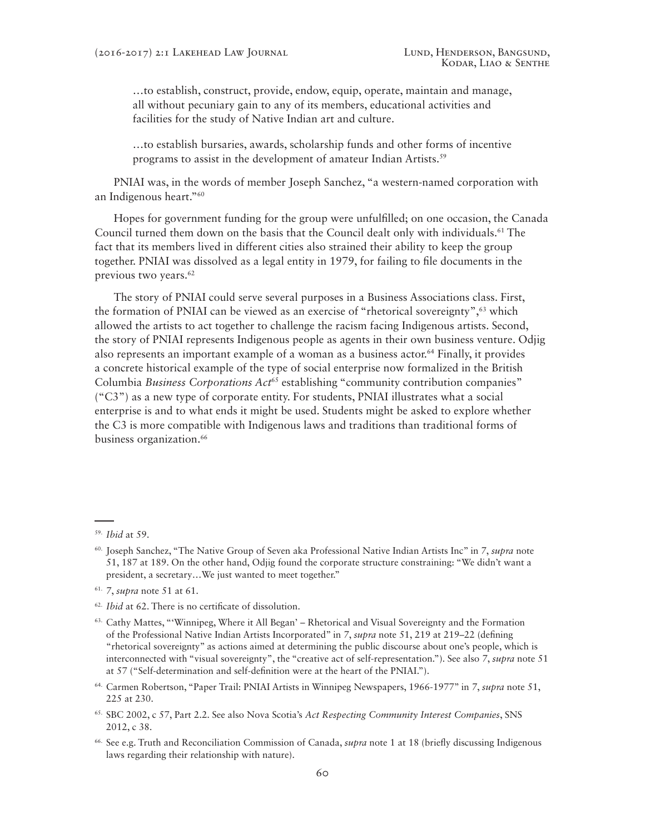…to establish, construct, provide, endow, equip, operate, maintain and manage, all without pecuniary gain to any of its members, educational activities and facilities for the study of Native Indian art and culture.

…to establish bursaries, awards, scholarship funds and other forms of incentive programs to assist in the development of amateur Indian Artists.<sup>59</sup>

PNIAI was, in the words of member Joseph Sanchez, "a western-named corporation with an Indigenous heart."60

Hopes for government funding for the group were unfulfilled; on one occasion, the Canada Council turned them down on the basis that the Council dealt only with individuals.<sup>61</sup> The fact that its members lived in different cities also strained their ability to keep the group together. PNIAI was dissolved as a legal entity in 1979, for failing to file documents in the previous two years.<sup>62</sup>

The story of PNIAI could serve several purposes in a Business Associations class. First, the formation of PNIAI can be viewed as an exercise of "rhetorical sovereignty",<sup>63</sup> which allowed the artists to act together to challenge the racism facing Indigenous artists. Second, the story of PNIAI represents Indigenous people as agents in their own business venture. Odjig also represents an important example of a woman as a business actor.64 Finally, it provides a concrete historical example of the type of social enterprise now formalized in the British Columbia *Business Corporations Act*<sup>65</sup> establishing "community contribution companies" ("C3") as a new type of corporate entity. For students, PNIAI illustrates what a social enterprise is and to what ends it might be used. Students might be asked to explore whether the C3 is more compatible with Indigenous laws and traditions than traditional forms of business organization.<sup>66</sup>

- 61. *7*, *supra* note 51 at 61.
- 62. *Ibid* at 62. There is no certificate of dissolution.
- 63. Cathy Mattes, "'Winnipeg, Where it All Began' Rhetorical and Visual Sovereignty and the Formation of the Professional Native Indian Artists Incorporated" in *7*, *supra* note 51, 219 at 219–22 (defining "rhetorical sovereignty" as actions aimed at determining the public discourse about one's people, which is interconnected with "visual sovereignty", the "creative act of self-representation."). See also *7*, *supra* note 51 at 57 ("Self-determination and self-definition were at the heart of the PNIAI.").
- 64. Carmen Robertson, "Paper Trail: PNIAI Artists in Winnipeg Newspapers, 1966-1977" in *7*, *supra* note 51, 225 at 230.

<sup>59.</sup> *Ibid* at 59.

<sup>60.</sup> Joseph Sanchez, "The Native Group of Seven aka Professional Native Indian Artists Inc" in *7*, *supra* note 51, 187 at 189. On the other hand, Odjig found the corporate structure constraining: "We didn't want a president, a secretary…We just wanted to meet together."

<sup>65.</sup> SBC 2002, c 57, Part 2.2. See also Nova Scotia's *Act Respecting Community Interest Companies*, SNS 2012, c 38.

<sup>66.</sup> See e.g. Truth and Reconciliation Commission of Canada, *supra* note 1 at 18 (briefly discussing Indigenous laws regarding their relationship with nature).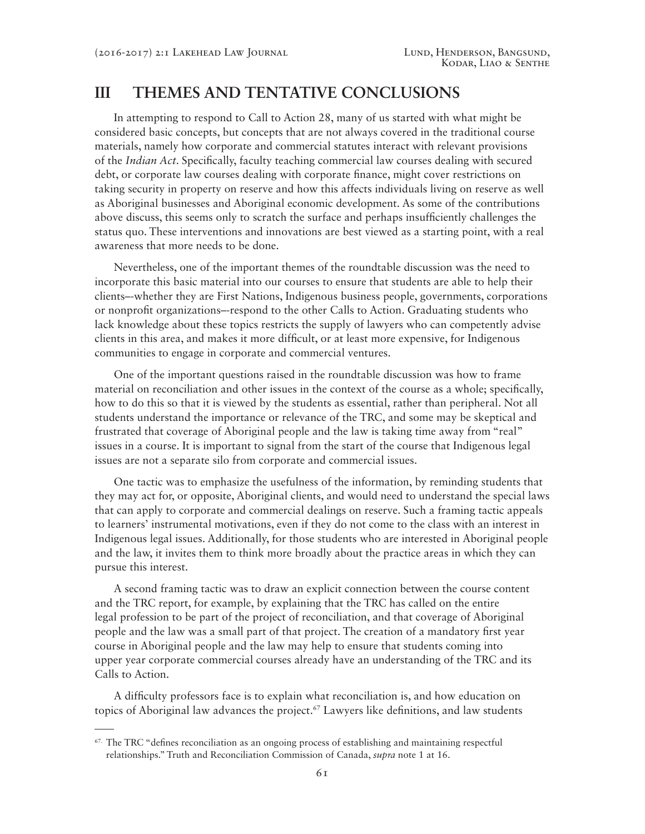#### **III THEMES AND TENTATIVE CONCLUSIONS**

In attempting to respond to Call to Action 28, many of us started with what might be considered basic concepts, but concepts that are not always covered in the traditional course materials, namely how corporate and commercial statutes interact with relevant provisions of the *Indian Act*. Specifically, faculty teaching commercial law courses dealing with secured debt, or corporate law courses dealing with corporate finance, might cover restrictions on taking security in property on reserve and how this affects individuals living on reserve as well as Aboriginal businesses and Aboriginal economic development. As some of the contributions above discuss, this seems only to scratch the surface and perhaps insufficiently challenges the status quo. These interventions and innovations are best viewed as a starting point, with a real awareness that more needs to be done.

Nevertheless, one of the important themes of the roundtable discussion was the need to incorporate this basic material into our courses to ensure that students are able to help their clients–-whether they are First Nations, Indigenous business people, governments, corporations or nonprofit organizations–-respond to the other Calls to Action. Graduating students who lack knowledge about these topics restricts the supply of lawyers who can competently advise clients in this area, and makes it more difficult, or at least more expensive, for Indigenous communities to engage in corporate and commercial ventures.

One of the important questions raised in the roundtable discussion was how to frame material on reconciliation and other issues in the context of the course as a whole; specifically, how to do this so that it is viewed by the students as essential, rather than peripheral. Not all students understand the importance or relevance of the TRC, and some may be skeptical and frustrated that coverage of Aboriginal people and the law is taking time away from "real" issues in a course. It is important to signal from the start of the course that Indigenous legal issues are not a separate silo from corporate and commercial issues.

One tactic was to emphasize the usefulness of the information, by reminding students that they may act for, or opposite, Aboriginal clients, and would need to understand the special laws that can apply to corporate and commercial dealings on reserve. Such a framing tactic appeals to learners' instrumental motivations, even if they do not come to the class with an interest in Indigenous legal issues. Additionally, for those students who are interested in Aboriginal people and the law, it invites them to think more broadly about the practice areas in which they can pursue this interest.

A second framing tactic was to draw an explicit connection between the course content and the TRC report, for example, by explaining that the TRC has called on the entire legal profession to be part of the project of reconciliation, and that coverage of Aboriginal people and the law was a small part of that project. The creation of a mandatory first year course in Aboriginal people and the law may help to ensure that students coming into upper year corporate commercial courses already have an understanding of the TRC and its Calls to Action.

A difficulty professors face is to explain what reconciliation is, and how education on topics of Aboriginal law advances the project.67 Lawyers like definitions, and law students

<sup>&</sup>lt;sup>67.</sup> The TRC "defines reconciliation as an ongoing process of establishing and maintaining respectful relationships." Truth and Reconciliation Commission of Canada, *supra* note 1 at 16.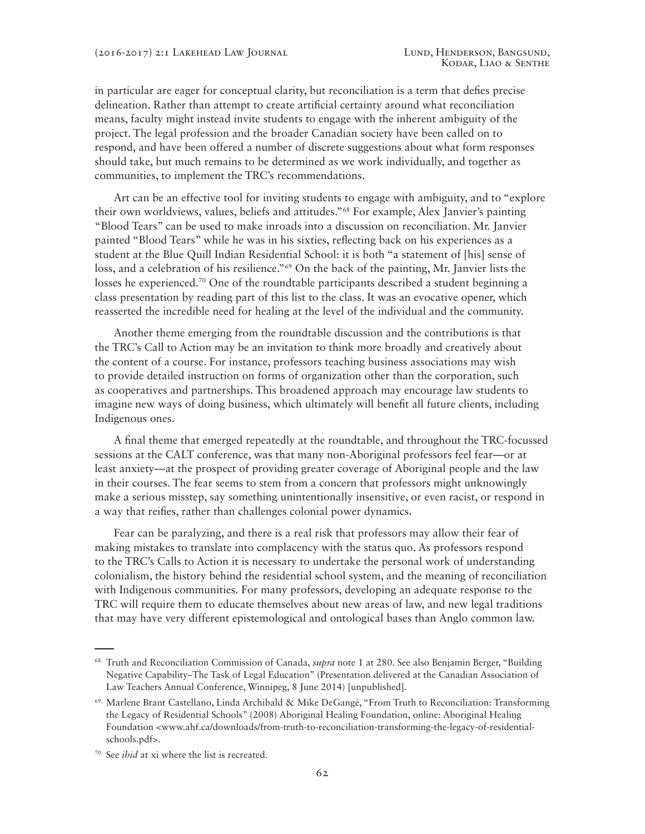in particular are eager for conceptual clarity, but reconciliation is a term that defies precise delineation. Rather than attempt to create artificial certainty around what reconciliation means, faculty might instead invite students to engage with the inherent ambiguity of the project. The legal profession and the broader Canadian society have been called on to respond, and have been offered a number of discrete suggestions about what form responses should take, but much remains to be determined as we work individually, and together as communities, to implement the TRC's recommendations.

Art can be an effective tool for inviting students to engage with ambiguity, and to "explore their own worldviews, values, beliefs and attitudes."68 For example, Alex Janvier's painting "Blood Tears" can be used to make inroads into a discussion on reconciliation. Mr. Janvier painted "Blood Tears" while he was in his sixties, reflecting back on his experiences as a student at the Blue Quill Indian Residential School: it is both "a statement of [his] sense of loss, and a celebration of his resilience."<sup>69</sup> On the back of the painting, Mr. Janvier lists the losses he experienced.<sup>70</sup> One of the roundtable participants described a student beginning a class presentation by reading part of this list to the class. It was an evocative opener, which reasserted the incredible need for healing at the level of the individual and the community.

Another theme emerging from the roundtable discussion and the contributions is that the TRC's Call to Action may be an invitation to think more broadly and creatively about the content of a course. For instance, professors teaching business associations may wish to provide detailed instruction on forms of organization other than the corporation, such as cooperatives and partnerships. This broadened approach may encourage law students to imagine new ways of doing business, which ultimately will benefit all future clients, including Indigenous ones.

A final theme that emerged repeatedly at the roundtable, and throughout the TRC-focussed sessions at the CALT conference, was that many non-Aboriginal professors feel fear—or at least anxiety—at the prospect of providing greater coverage of Aboriginal people and the law in their courses. The fear seems to stem from a concern that professors might unknowingly make a serious misstep, say something unintentionally insensitive, or even racist, or respond in a way that reifies, rather than challenges colonial power dynamics.

Fear can be paralyzing, and there is a real risk that professors may allow their fear of making mistakes to translate into complacency with the status quo. As professors respond to the TRC's Calls to Action it is necessary to undertake the personal work of understanding colonialism, the history behind the residential school system, and the meaning of reconciliation with Indigenous communities. For many professors, developing an adequate response to the TRC will require them to educate themselves about new areas of law, and new legal traditions that may have very different epistemological and ontological bases than Anglo common law.

<sup>68.</sup> Truth and Reconciliation Commission of Canada, *supra* note 1 at 280. See also Benjamin Berger, "Building Negative Capability–The Task of Legal Education" (Presentation delivered at the Canadian Association of Law Teachers Annual Conference, Winnipeg, 8 June 2014) [unpublished].

 $69.$  Marlene Brant Castellano, Linda Archibald & Mike DeGangé, "From Truth to Reconciliation: Transforming the Legacy of Residential Schools" (2008) Aboriginal Healing Foundation, online: Aboriginal Healing Foundation <www.ahf.ca/downloads/from-truth-to-reconciliation-transforming-the-legacy-of-residentialschools.pdf>.

<sup>70.</sup> See *ibid* at xi where the list is recreated.